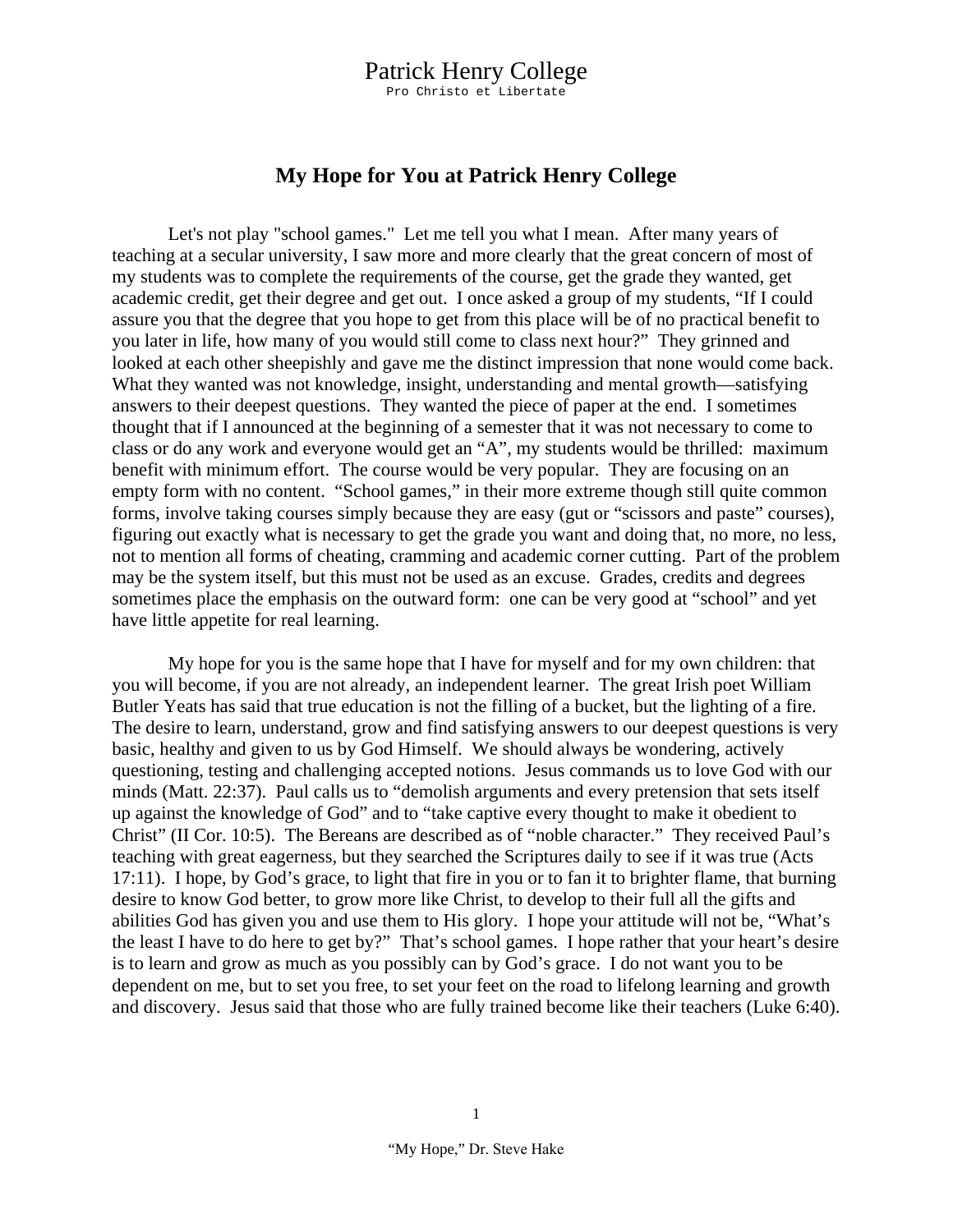## Patrick Henry College

Pro Christo et Libertate

## **My Hope for You at Patrick Henry College**

Let's not play "school games." Let me tell you what I mean. After many years of teaching at a secular university, I saw more and more clearly that the great concern of most of my students was to complete the requirements of the course, get the grade they wanted, get academic credit, get their degree and get out. I once asked a group of my students, "If I could assure you that the degree that you hope to get from this place will be of no practical benefit to you later in life, how many of you would still come to class next hour?" They grinned and looked at each other sheepishly and gave me the distinct impression that none would come back. What they wanted was not knowledge, insight, understanding and mental growth—satisfying answers to their deepest questions. They wanted the piece of paper at the end. I sometimes thought that if I announced at the beginning of a semester that it was not necessary to come to class or do any work and everyone would get an "A", my students would be thrilled: maximum benefit with minimum effort. The course would be very popular. They are focusing on an empty form with no content. "School games," in their more extreme though still quite common forms, involve taking courses simply because they are easy (gut or "scissors and paste" courses), figuring out exactly what is necessary to get the grade you want and doing that, no more, no less, not to mention all forms of cheating, cramming and academic corner cutting. Part of the problem may be the system itself, but this must not be used as an excuse. Grades, credits and degrees sometimes place the emphasis on the outward form: one can be very good at "school" and yet have little appetite for real learning.

My hope for you is the same hope that I have for myself and for my own children: that you will become, if you are not already, an independent learner. The great Irish poet William Butler Yeats has said that true education is not the filling of a bucket, but the lighting of a fire. The desire to learn, understand, grow and find satisfying answers to our deepest questions is very basic, healthy and given to us by God Himself. We should always be wondering, actively questioning, testing and challenging accepted notions. Jesus commands us to love God with our minds (Matt. 22:37). Paul calls us to "demolish arguments and every pretension that sets itself up against the knowledge of God" and to "take captive every thought to make it obedient to Christ" (II Cor. 10:5). The Bereans are described as of "noble character." They received Paul's teaching with great eagerness, but they searched the Scriptures daily to see if it was true (Acts 17:11). I hope, by God's grace, to light that fire in you or to fan it to brighter flame, that burning desire to know God better, to grow more like Christ, to develop to their full all the gifts and abilities God has given you and use them to His glory. I hope your attitude will not be, "What's the least I have to do here to get by?" That's school games. I hope rather that your heart's desire is to learn and grow as much as you possibly can by God's grace. I do not want you to be dependent on me, but to set you free, to set your feet on the road to lifelong learning and growth and discovery. Jesus said that those who are fully trained become like their teachers (Luke 6:40).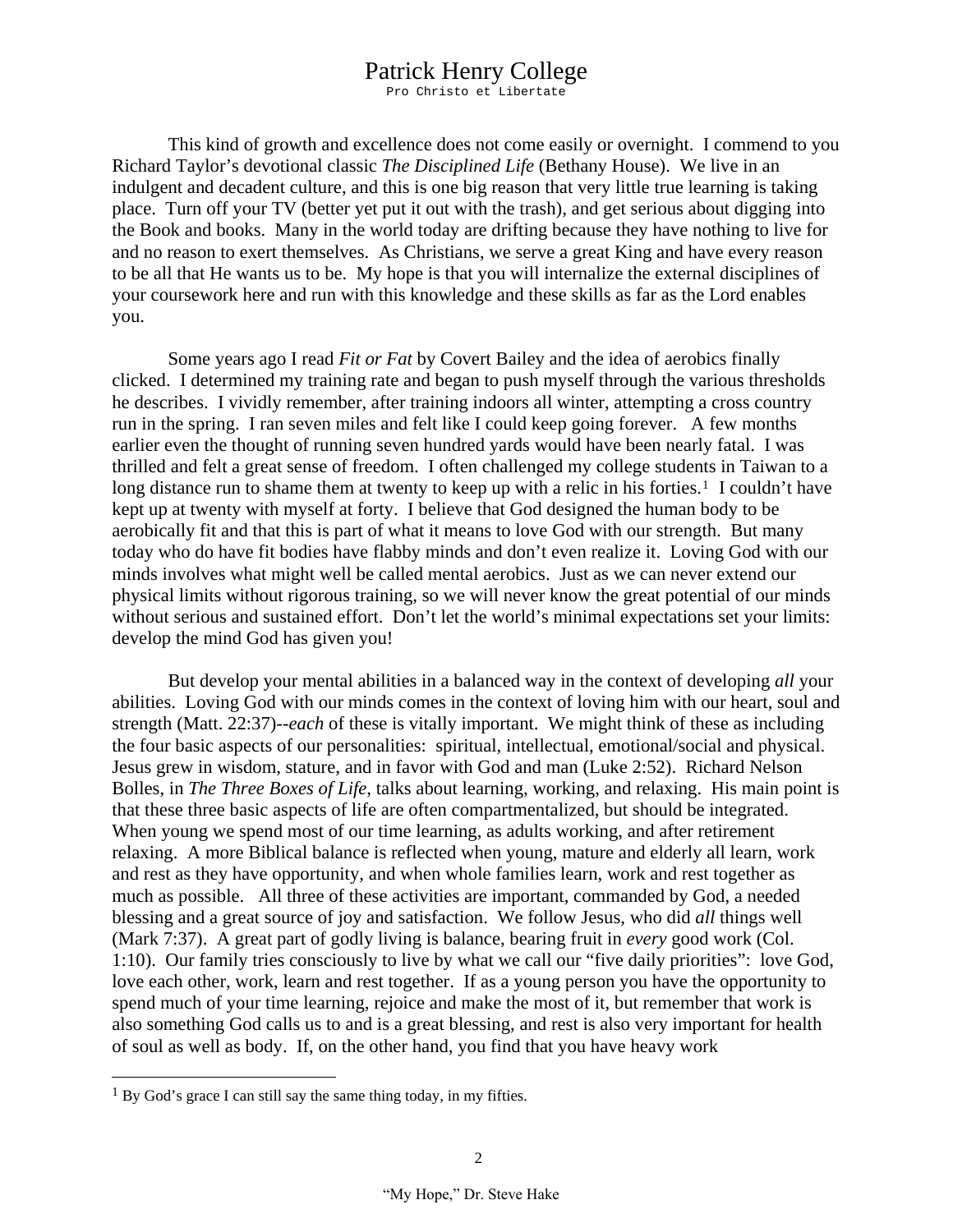## Patrick Henry College

Pro Christo et Libertate

This kind of growth and excellence does not come easily or overnight. I commend to you Richard Taylor's devotional classic *The Disciplined Life* (Bethany House). We live in an indulgent and decadent culture, and this is one big reason that very little true learning is taking place. Turn off your TV (better yet put it out with the trash), and get serious about digging into the Book and books. Many in the world today are drifting because they have nothing to live for and no reason to exert themselves. As Christians, we serve a great King and have every reason to be all that He wants us to be. My hope is that you will internalize the external disciplines of your coursework here and run with this knowledge and these skills as far as the Lord enables you.

Some years ago I read *Fit or Fat* by Covert Bailey and the idea of aerobics finally clicked. I determined my training rate and began to push myself through the various thresholds he describes. I vividly remember, after training indoors all winter, attempting a cross country run in the spring. I ran seven miles and felt like I could keep going forever. A few months earlier even the thought of running seven hundred yards would have been nearly fatal. I was thrilled and felt a great sense of freedom. I often challenged my college students in Taiwan to a long distance run to shame them at twenty to keep up with a relic in his forties.<sup>[1](#page-1-0)</sup> I couldn't have kept up at twenty with myself at forty. I believe that God designed the human body to be aerobically fit and that this is part of what it means to love God with our strength. But many today who do have fit bodies have flabby minds and don't even realize it. Loving God with our minds involves what might well be called mental aerobics. Just as we can never extend our physical limits without rigorous training, so we will never know the great potential of our minds without serious and sustained effort. Don't let the world's minimal expectations set your limits: develop the mind God has given you!

But develop your mental abilities in a balanced way in the context of developing *all* your abilities. Loving God with our minds comes in the context of loving him with our heart, soul and strength (Matt. 22:37)--*each* of these is vitally important. We might think of these as including the four basic aspects of our personalities: spiritual, intellectual, emotional/social and physical. Jesus grew in wisdom, stature, and in favor with God and man (Luke 2:52). Richard Nelson Bolles, in *The Three Boxes of Life*, talks about learning, working, and relaxing. His main point is that these three basic aspects of life are often compartmentalized, but should be integrated. When young we spend most of our time learning, as adults working, and after retirement relaxing. A more Biblical balance is reflected when young, mature and elderly all learn, work and rest as they have opportunity, and when whole families learn, work and rest together as much as possible. All three of these activities are important, commanded by God, a needed blessing and a great source of joy and satisfaction. We follow Jesus, who did *all* things well (Mark 7:37). A great part of godly living is balance, bearing fruit in *every* good work (Col. 1:10). Our family tries consciously to live by what we call our "five daily priorities": love God, love each other, work, learn and rest together. If as a young person you have the opportunity to spend much of your time learning, rejoice and make the most of it, but remember that work is also something God calls us to and is a great blessing, and rest is also very important for health of soul as well as body. If, on the other hand, you find that you have heavy work

<span id="page-1-0"></span><sup>&</sup>lt;sup>1</sup> By God's grace I can still say the same thing today, in my fifties.